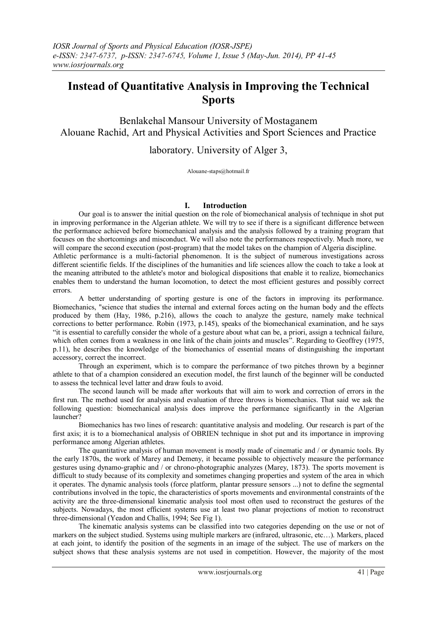# **Instead of Quantitative Analysis in Improving the Technical Sports**

Benlakehal Mansour University of Mostaganem Alouane Rachid, Art and Physical Activities and Sport Sciences and Practice

laboratory. University of Alger 3,

Alouane-staps@hotmail.fr

# **I. Introduction**

Our goal is to answer the initial question on the role of biomechanical analysis of technique in shot put in improving performance in the Algerian athlete. We will try to see if there is a significant difference between the performance achieved before biomechanical analysis and the analysis followed by a training program that focuses on the shortcomings and misconduct. We will also note the performances respectively. Much more, we will compare the second execution (post-program) that the model takes on the champion of Algeria discipline. Athletic performance is a multi-factorial phenomenon. It is the subject of numerous investigations across different scientific fields. If the disciplines of the humanities and life sciences allow the coach to take a look at the meaning attributed to the athlete's motor and biological dispositions that enable it to realize, biomechanics enables them to understand the human locomotion, to detect the most efficient gestures and possibly correct errors.

A better understanding of sporting gesture is one of the factors in improving its performance. Biomechanics, "science that studies the internal and external forces acting on the human body and the effects produced by them (Hay, 1986, p.216), allows the coach to analyze the gesture, namely make technical corrections to better performance. Robin (1973, p.145), speaks of the biomechanical examination, and he says "it is essential to carefully consider the whole of a gesture about what can be, a priori, assign a technical failure, which often comes from a weakness in one link of the chain joints and muscles". Regarding to Geoffrey (1975, p.11), he describes the knowledge of the biomechanics of essential means of distinguishing the important accessory, correct the incorrect.

Through an experiment, which is to compare the performance of two pitches thrown by a beginner athlete to that of a champion considered an execution model, the first launch of the beginner will be conducted to assess the technical level latter and draw fouls to avoid.

The second launch will be made after workouts that will aim to work and correction of errors in the first run. The method used for analysis and evaluation of three throws is biomechanics. That said we ask the following question: biomechanical analysis does improve the performance significantly in the Algerian launcher?

Biomechanics has two lines of research: quantitative analysis and modeling. Our research is part of the first axis; it is to a biomechanical analysis of OBRIEN technique in shot put and its importance in improving performance among Algerian athletes.

The quantitative analysis of human movement is mostly made of cinematic and / or dynamic tools. By the early 1870s, the work of Marey and Demeny, it became possible to objectively measure the performance gestures using dynamo-graphic and / or chrono-photographic analyzes (Marey, 1873). The sports movement is difficult to study because of its complexity and sometimes changing properties and system of the area in which it operates. The dynamic analysis tools (force platform, plantar pressure sensors ...) not to define the segmental contributions involved in the topic, the characteristics of sports movements and environmental constraints of the activity are the three-dimensional kinematic analysis tool most often used to reconstruct the gestures of the subjects. Nowadays, the most efficient systems use at least two planar projections of motion to reconstruct three-dimensional (Yeadon and Challis, 1994; See Fig 1).

The kinematic analysis systems can be classified into two categories depending on the use or not of markers on the subject studied. Systems using multiple markers are (infrared, ultrasonic, etc…). Markers, placed at each joint, to identify the position of the segments in an image of the subject. The use of markers on the subject shows that these analysis systems are not used in competition. However, the majority of the most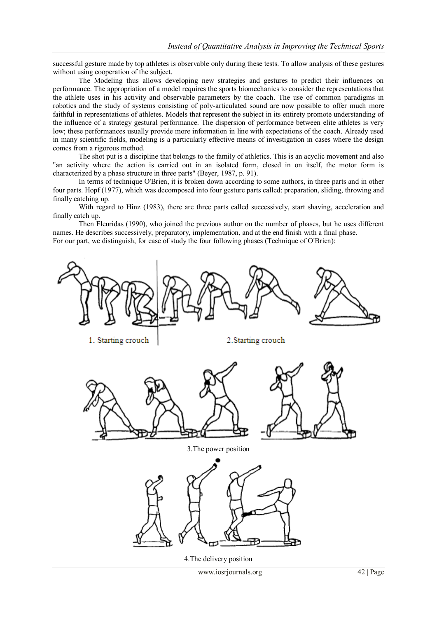successful gesture made by top athletes is observable only during these tests. To allow analysis of these gestures without using cooperation of the subject.

The Modeling thus allows developing new strategies and gestures to predict their influences on performance. The appropriation of a model requires the sports biomechanics to consider the representations that the athlete uses in his activity and observable parameters by the coach. The use of common paradigms in robotics and the study of systems consisting of poly-articulated sound are now possible to offer much more faithful in representations of athletes. Models that represent the subject in its entirety promote understanding of the influence of a strategy gestural performance. The dispersion of performance between elite athletes is very low; these performances usually provide more information in line with expectations of the coach. Already used in many scientific fields, modeling is a particularly effective means of investigation in cases where the design comes from a rigorous method.

The shot put is a discipline that belongs to the family of athletics. This is an acyclic movement and also "an activity where the action is carried out in an isolated form, closed in on itself, the motor form is characterized by a phase structure in three parts" (Beyer, 1987, p. 91).

In terms of technique O'Brien, it is broken down according to some authors, in three parts and in other four parts. Hopf (1977), which was decomposed into four gesture parts called: preparation, sliding, throwing and finally catching up.

With regard to Hinz (1983), there are three parts called successively, start shaving, acceleration and finally catch up.

Then Fleuridas (1990), who joined the previous author on the number of phases, but he uses different names. He describes successively, preparatory, implementation, and at the end finish with a final phase. For our part, we distinguish, for ease of study the four following phases (Technique of O'Brien):

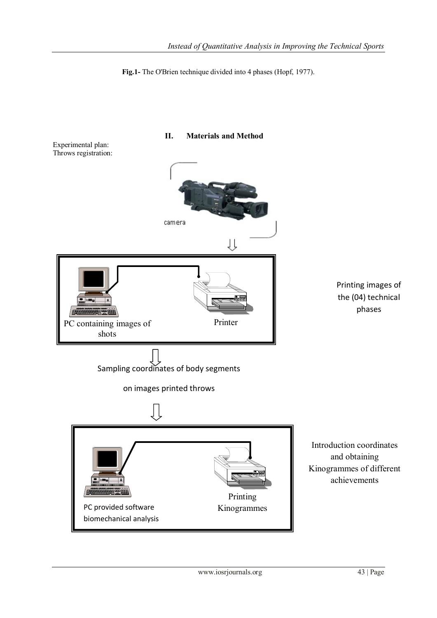**Fig.1-** The O'Brien technique divided into 4 phases (Hopf, 1977).

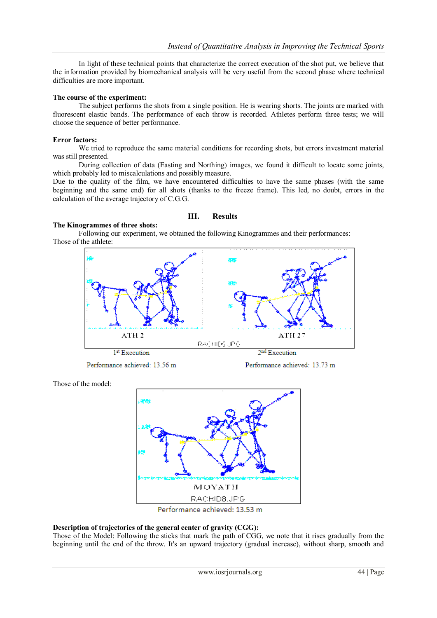In light of these technical points that characterize the correct execution of the shot put, we believe that the information provided by biomechanical analysis will be very useful from the second phase where technical difficulties are more important.

#### **The course of the experiment:**

The subject performs the shots from a single position. He is wearing shorts. The joints are marked with fluorescent elastic bands. The performance of each throw is recorded. Athletes perform three tests; we will choose the sequence of better performance.

#### **Error factors:**

We tried to reproduce the same material conditions for recording shots, but errors investment material was still presented.

During collection of data (Easting and Northing) images, we found it difficult to locate some joints, which probably led to miscalculations and possibly measure.

Due to the quality of the film, we have encountered difficulties to have the same phases (with the same beginning and the same end) for all shots (thanks to the freeze frame). This led, no doubt, errors in the calculation of the average trajectory of C.G.G.

#### **The Kinogrammes of three shots:**

# **III. Results**

Following our experiment, we obtained the following Kinogrammes and their performances: Those of the athlete:



Performance achieved: 13.56 m

Performance achieved: 13.73 m

Those of the model:



# **Description of trajectories of the general center of gravity (CGG):**

Those of the Model: Following the sticks that mark the path of CGG, we note that it rises gradually from the beginning until the end of the throw. It's an upward trajectory (gradual increase), without sharp, smooth and